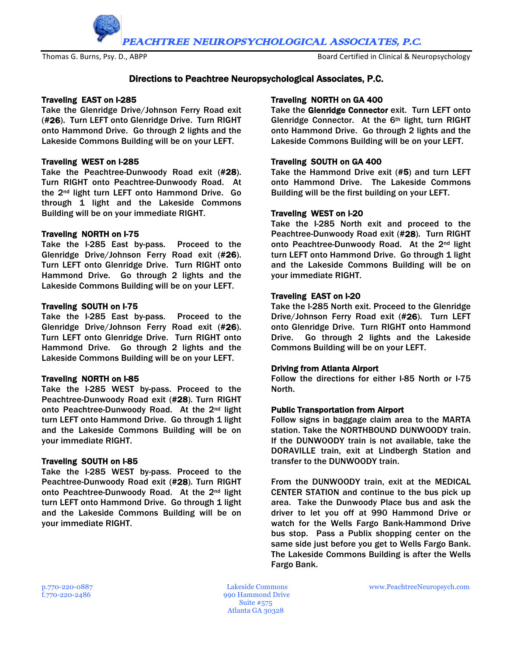PEACHTREE NEUROPSYCHOLOGICAL ASSOCIATES, P.C.

Thomas G. Burns, Psy. D., ABPP Board Certified in Clinical & Neuropsychology

# Directions to Peachtree Neuropsychological Associates, P.C.

## Traveling EAST on I-285

Take the Glenridge Drive/Johnson Ferry Road exit (#26). Turn LEFT onto Glenridge Drive. Turn RIGHT onto Hammond Drive. Go through 2 lights and the Lakeside Commons Building will be on your LEFT.

## Traveling WEST on I-285

Take the Peachtree-Dunwoody Road exit (#28). Turn RIGHT onto Peachtree-Dunwoody Road. At the 2nd light turn LEFT onto Hammond Drive. Go through 1 light and the Lakeside Commons Building will be on your immediate RIGHT.

## Traveling NORTH on I-75

Take the I-285 East by-pass. Proceed to the Glenridge Drive/Johnson Ferry Road exit (#26). Turn LEFT onto Glenridge Drive. Turn RIGHT onto Hammond Drive. Go through 2 lights and the Lakeside Commons Building will be on your LEFT.

## Traveling SOUTH on I-75

Take the I-285 East by-pass. Proceed to the Glenridge Drive/Johnson Ferry Road exit (#26). Turn LEFT onto Glenridge Drive. Turn RIGHT onto Hammond Drive. Go through 2 lights and the Lakeside Commons Building will be on your LEFT.

## Traveling NORTH on I-85

Take the I-285 WEST by-pass. Proceed to the Peachtree-Dunwoody Road exit (#28). Turn RIGHT onto Peachtree-Dunwoody Road. At the 2nd light turn LEFT onto Hammond Drive. Go through 1 light and the Lakeside Commons Building will be on your immediate RIGHT.

## Traveling SOUTH on I-85

Take the I-285 WEST by-pass. Proceed to the Peachtree-Dunwoody Road exit (#28). Turn RIGHT onto Peachtree-Dunwoody Road. At the 2nd light turn LEFT onto Hammond Drive. Go through 1 light and the Lakeside Commons Building will be on your immediate RIGHT.

## Traveling NORTH on GA 400

Take the Glenridge Connector exit. Turn LEFT onto Glenridge Connector. At the 6th light, turn RIGHT onto Hammond Drive. Go through 2 lights and the Lakeside Commons Building will be on your LEFT.

## Traveling SOUTH on GA 400

Take the Hammond Drive exit (#5) and turn LEFT onto Hammond Drive. The Lakeside Commons Building will be the first building on your LEFT.

## Traveling WEST on I-20

Take the I-285 North exit and proceed to the Peachtree-Dunwoody Road exit (#28). Turn RIGHT onto Peachtree-Dunwoody Road. At the 2nd light turn LEFT onto Hammond Drive. Go through 1 light and the Lakeside Commons Building will be on your immediate RIGHT.

## Traveling EAST on I-20

Take the I-285 North exit. Proceed to the Glenridge Drive/Johnson Ferry Road exit (#26). Turn LEFT onto Glenridge Drive. Turn RIGHT onto Hammond Drive. Go through 2 lights and the Lakeside Commons Building will be on your LEFT.

#### Driving from Atlanta Airport

Follow the directions for either I-85 North or I-75 North.

#### Public Transportation from Airport

Follow signs in baggage claim area to the MARTA station. Take the NORTHBOUND DUNWOODY train. If the DUNWOODY train is not available, take the DORAVILLE train, exit at Lindbergh Station and transfer to the DUNWOODY train.

From the DUNWOODY train, exit at the MEDICAL CENTER STATION and continue to the bus pick up area. Take the Dunwoody Place bus and ask the driver to let you off at 990 Hammond Drive or watch for the Wells Fargo Bank-Hammond Drive bus stop. Pass a Publix shopping center on the same side just before you get to Wells Fargo Bank. The Lakeside Commons Building is after the Wells Fargo Bank.

f.770-220-2486 990 Hammond Drive Suite #575 Atlanta GA 30328